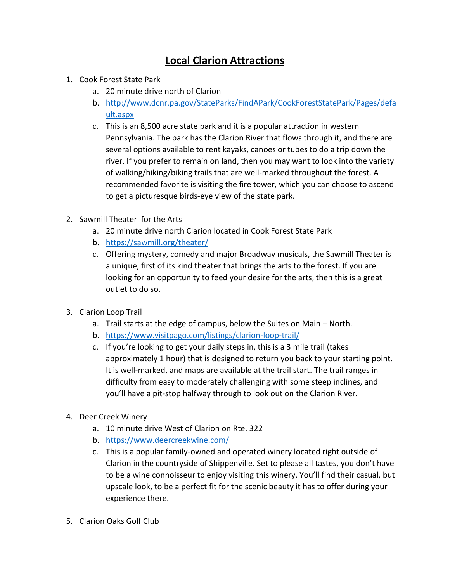## **Local Clarion Attractions**

- 1. Cook Forest State Park
	- a. 20 minute drive north of Clarion
	- b. [http://www.dcnr.pa.gov/StateParks/FindAPark/CookForestStatePark/Pages/defa](http://www.dcnr.pa.gov/StateParks/FindAPark/CookForestStatePark/Pages/default.aspx) [ult.aspx](http://www.dcnr.pa.gov/StateParks/FindAPark/CookForestStatePark/Pages/default.aspx)
	- c. This is an 8,500 acre state park and it is a popular attraction in western Pennsylvania. The park has the Clarion River that flows through it, and there are several options available to rent kayaks, canoes or tubes to do a trip down the river. If you prefer to remain on land, then you may want to look into the variety of walking/hiking/biking trails that are well-marked throughout the forest. A recommended favorite is visiting the fire tower, which you can choose to ascend to get a picturesque birds-eye view of the state park.
- 2. Sawmill Theater for the Arts
	- a. 20 minute drive north Clarion located in Cook Forest State Park
	- b. <https://sawmill.org/theater/>
	- c. Offering mystery, comedy and major Broadway musicals, the Sawmill Theater is a unique, first of its kind theater that brings the arts to the forest. If you are looking for an opportunity to feed your desire for the arts, then this is a great outlet to do so.
- 3. Clarion Loop Trail
	- a. Trail starts at the edge of campus, below the Suites on Main North.
	- b. <https://www.visitpago.com/listings/clarion-loop-trail/>
	- c. If you're looking to get your daily steps in, this is a 3 mile trail (takes approximately 1 hour) that is designed to return you back to your starting point. It is well-marked, and maps are available at the trail start. The trail ranges in difficulty from easy to moderately challenging with some steep inclines, and you'll have a pit-stop halfway through to look out on the Clarion River.
- 4. Deer Creek Winery
	- a. 10 minute drive West of Clarion on Rte. 322
	- b. <https://www.deercreekwine.com/>
	- c. This is a popular family-owned and operated winery located right outside of Clarion in the countryside of Shippenville. Set to please all tastes, you don't have to be a wine connoisseur to enjoy visiting this winery. You'll find their casual, but upscale look, to be a perfect fit for the scenic beauty it has to offer during your experience there.
- 5. Clarion Oaks Golf Club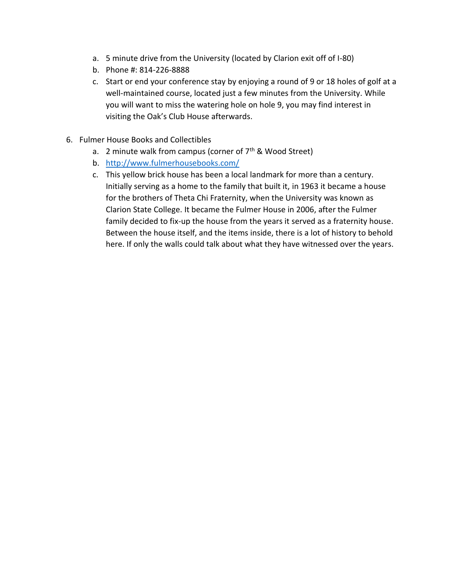- a. 5 minute drive from the University (located by Clarion exit off of I-80)
- b. Phone #: 814-226-8888
- c. Start or end your conference stay by enjoying a round of 9 or 18 holes of golf at a well-maintained course, located just a few minutes from the University. While you will want to miss the watering hole on hole 9, you may find interest in visiting the Oak's Club House afterwards.
- 6. Fulmer House Books and Collectibles
	- a. 2 minute walk from campus (corner of  $7<sup>th</sup>$  & Wood Street)
	- b. <http://www.fulmerhousebooks.com/>
	- c. This yellow brick house has been a local landmark for more than a century. Initially serving as a home to the family that built it, in 1963 it became a house for the brothers of Theta Chi Fraternity, when the University was known as Clarion State College. It became the Fulmer House in 2006, after the Fulmer family decided to fix-up the house from the years it served as a fraternity house. Between the house itself, and the items inside, there is a lot of history to behold here. If only the walls could talk about what they have witnessed over the years.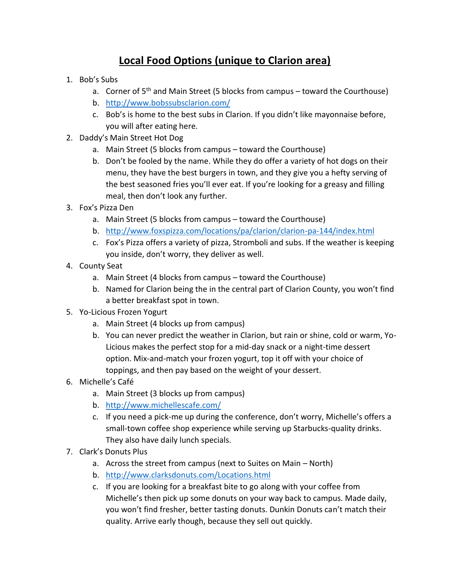## **Local Food Options (unique to Clarion area)**

- 1. Bob's Subs
	- a. Corner of  $5<sup>th</sup>$  and Main Street (5 blocks from campus toward the Courthouse)
	- b. <http://www.bobssubsclarion.com/>
	- c. Bob's is home to the best subs in Clarion. If you didn't like mayonnaise before, you will after eating here.
- 2. Daddy's Main Street Hot Dog
	- a. Main Street (5 blocks from campus toward the Courthouse)
	- b. Don't be fooled by the name. While they do offer a variety of hot dogs on their menu, they have the best burgers in town, and they give you a hefty serving of the best seasoned fries you'll ever eat. If you're looking for a greasy and filling meal, then don't look any further.
- 3. Fox's Pizza Den
	- a. Main Street (5 blocks from campus toward the Courthouse)
	- b. <http://www.foxspizza.com/locations/pa/clarion/clarion-pa-144/index.html>
	- c. Fox's Pizza offers a variety of pizza, Stromboli and subs. If the weather is keeping you inside, don't worry, they deliver as well.
- 4. County Seat
	- a. Main Street (4 blocks from campus toward the Courthouse)
	- b. Named for Clarion being the in the central part of Clarion County, you won't find a better breakfast spot in town.
- 5. Yo-Licious Frozen Yogurt
	- a. Main Street (4 blocks up from campus)
	- b. You can never predict the weather in Clarion, but rain or shine, cold or warm, Yo-Licious makes the perfect stop for a mid-day snack or a night-time dessert option. Mix-and-match your frozen yogurt, top it off with your choice of toppings, and then pay based on the weight of your dessert.
- 6. Michelle's Café
	- a. Main Street (3 blocks up from campus)
	- b. <http://www.michellescafe.com/>
	- c. If you need a pick-me up during the conference, don't worry, Michelle's offers a small-town coffee shop experience while serving up Starbucks-quality drinks. They also have daily lunch specials.
- 7. Clark's Donuts Plus
	- a. Across the street from campus (next to Suites on Main North)
	- b. <http://www.clarksdonuts.com/Locations.html>
	- c. If you are looking for a breakfast bite to go along with your coffee from Michelle's then pick up some donuts on your way back to campus. Made daily, you won't find fresher, better tasting donuts. Dunkin Donuts can't match their quality. Arrive early though, because they sell out quickly.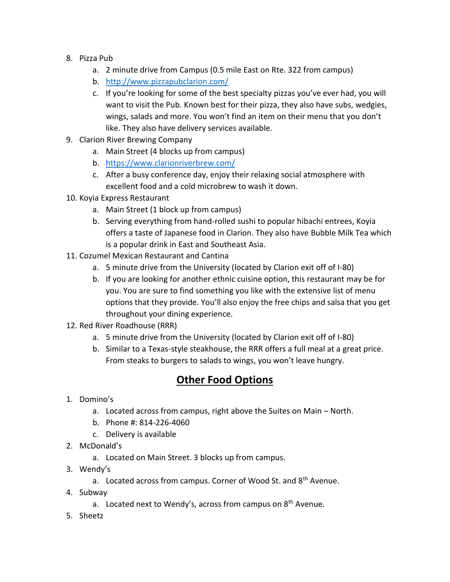- 8. Pizza Pub
	- a. 2 minute drive from Campus (0.5 mile East on Rte. 322 from campus)
	- b. <http://www.pizzapubclarion.com/>
	- c. If you're looking for some of the best specialty pizzas you've ever had, you will want to visit the Pub. Known best for their pizza, they also have subs, wedgies, wings, salads and more. You won't find an item on their menu that you don't like. They also have delivery services available.
- 9. Clarion River Brewing Company
	- a. Main Street (4 blocks up from campus)
	- b. <https://www.clarionriverbrew.com/>
	- c. After a busy conference day, enjoy their relaxing social atmosphere with excellent food and a cold microbrew to wash it down.
- 10. Koyia Express Restaurant
	- a. Main Street (1 block up from campus)
	- b. Serving everything from hand-rolled sushi to popular hibachi entrees, Koyia offers a taste of Japanese food in Clarion. They also have Bubble Milk Tea which is a popular drink in East and Southeast Asia.
- 11. Cozumel Mexican Restaurant and Cantina
	- a. 5 minute drive from the University (located by Clarion exit off of I-80)
	- b. If you are looking for another ethnic cuisine option, this restaurant may be for you. You are sure to find something you like with the extensive list of menu options that they provide. You'll also enjoy the free chips and salsa that you get throughout your dining experience.
- 12. Red River Roadhouse (RRR)
	- a. 5 minute drive from the University (located by Clarion exit off of I-80)
	- b. Similar to a Texas-style steakhouse, the RRR offers a full meal at a great price. From steaks to burgers to salads to wings, you won't leave hungry.

## **Other Food Options**

- 1. Domino's
	- a. Located across from campus, right above the Suites on Main North.
	- b. Phone #: 814-226-4060
	- c. Delivery is available
- 2. McDonald's
	- a. Located on Main Street. 3 blocks up from campus.
- 3. Wendy's
	- a. Located across from campus. Corner of Wood St. and 8<sup>th</sup> Avenue.
- 4. Subway
	- a. Located next to Wendy's, across from campus on  $8<sup>th</sup>$  Avenue.
- 5. Sheetz